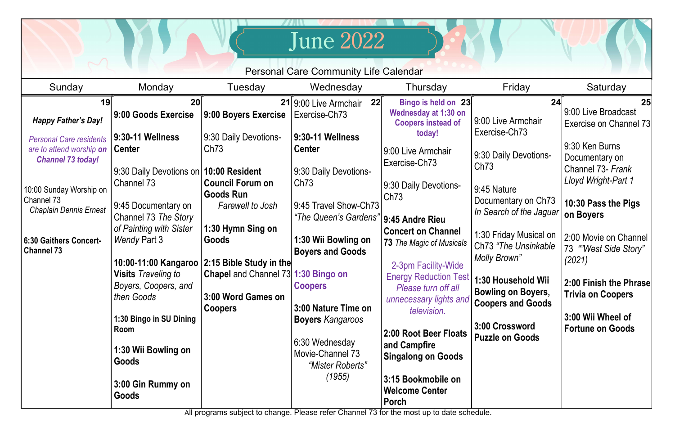| <b>June 2022</b><br><b>Personal Care Community Life Calendar</b>                                   |                                                                                             |                                                                                          |                                                                                   |                                                                                                                                   |                                                                                                            |                                                                                                |  |  |  |  |  |
|----------------------------------------------------------------------------------------------------|---------------------------------------------------------------------------------------------|------------------------------------------------------------------------------------------|-----------------------------------------------------------------------------------|-----------------------------------------------------------------------------------------------------------------------------------|------------------------------------------------------------------------------------------------------------|------------------------------------------------------------------------------------------------|--|--|--|--|--|
| Sunday                                                                                             | Monday                                                                                      | Tuesday                                                                                  | Wednesday                                                                         | Thursday                                                                                                                          | Friday                                                                                                     | Saturday                                                                                       |  |  |  |  |  |
| 19<br><b>Happy Father's Day!</b><br><b>Personal Care residents</b><br>are to attend worship on     | 20<br>9:00 Goods Exercise<br>9:30-11 Wellness<br><b>Center</b>                              | 9:00 Boyers Exercise<br>9:30 Daily Devotions-<br>Ch73                                    | 22<br>21 9:00 Live Armchair<br>Exercise-Ch73<br>9:30-11 Wellness<br><b>Center</b> | Bingo is held on 23<br><b>Wednesday at 1:30 on</b><br><b>Coopers instead of</b><br>today!<br>9:00 Live Armchair                   | 24<br>9:00 Live Armchair<br>Exercise-Ch73                                                                  | 25<br>9:00 Live Broadcast<br>Exercise on Channel 73<br>9:30 Ken Burns                          |  |  |  |  |  |
| <b>Channel 73 today!</b><br>10:00 Sunday Worship on<br>Channel 73<br><b>Chaplain Dennis Ernest</b> | 9:30 Daily Devotions on<br>Channel 73<br>9:45 Documentary on<br>Channel 73 The Story        | 10:00 Resident<br><b>Council Forum on</b><br><b>Goods Run</b><br><b>Farewell to Josh</b> | 9:30 Daily Devotions-<br>Ch73<br>9:45 Travel Show-Ch73<br>"The Queen's Gardens"   | Exercise-Ch73<br>9:30 Daily Devotions-<br>Ch73<br>9:45 Andre Rieu                                                                 | 9:30 Daily Devotions-<br>Ch <sub>73</sub><br>9:45 Nature<br>Documentary on Ch73<br>In Search of the Jaguar | Documentary on<br>Channel 73- Frank<br>Lloyd Wright-Part 1<br>10:30 Pass the Pigs<br>on Boyers |  |  |  |  |  |
| 6:30 Gaithers Concert-<br><b>Channel 73</b>                                                        | of Painting with Sister<br><b>Wendy Part 3</b>                                              | 1:30 Hymn Sing on<br>Goods<br>10:00-11:00 Kangaroo   2:15 Bible Study in the             | 1:30 Wii Bowling on<br><b>Boyers and Goods</b>                                    | <b>Concert on Channel</b><br>73 The Magic of Musicals<br>2-3pm Facility-Wide                                                      | 1:30 Friday Musical on<br>Ch73 "The Unsinkable<br><b>Molly Brown"</b>                                      | 2:00 Movie on Channel<br>73 "West Side Story"<br>(2021)                                        |  |  |  |  |  |
|                                                                                                    | <b>Visits</b> Traveling to<br>Boyers, Coopers, and<br>then Goods<br>1:30 Bingo in SU Dining | <b>Chapel</b> and Channel 73 1:30 Bingo on<br>3:00 Word Games on<br><b>Coopers</b>       | <b>Coopers</b><br>3:00 Nature Time on<br><b>Boyers Kangaroos</b>                  | <b>Energy Reduction Test</b><br>Please turn off all<br>unnecessary lights and<br>television.                                      | 1:30 Household Wii<br><b>Bowling on Boyers,</b><br><b>Coopers and Goods</b>                                | 2:00 Finish the Phrase<br><b>Trivia on Coopers</b><br>3:00 Wii Wheel of                        |  |  |  |  |  |
|                                                                                                    | Room<br>1:30 Wii Bowling on<br>Goods<br>3:00 Gin Rummy on<br>Goods                          |                                                                                          | 6:30 Wednesday<br>Movie-Channel 73<br>"Mister Roberts"<br>(1955)                  | 2:00 Root Beer Floats<br>and Campfire<br><b>Singalong on Goods</b><br>3:15 Bookmobile on<br><b>Welcome Center</b><br><b>Porch</b> | 3:00 Crossword<br><b>Puzzle on Goods</b>                                                                   | <b>Fortune on Goods</b>                                                                        |  |  |  |  |  |

All programs subject to change. Please refer Channel 73 for the most up to date schedule.